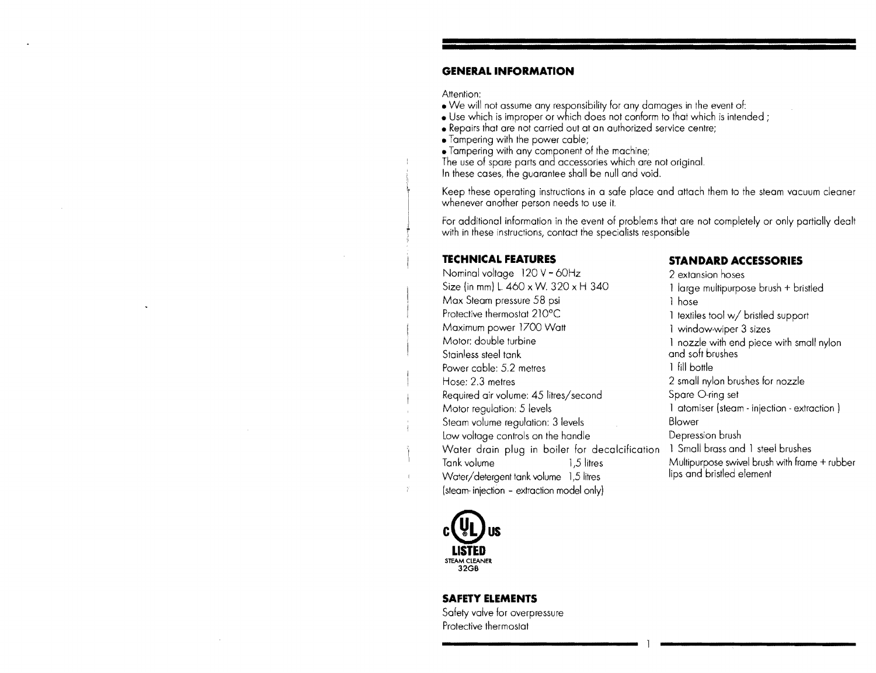#### **GENERAL INFORMATION**

Attention:

- We will not assume any responsibility for any damages in the event of:
- Use which is improper or which does not conform to that which is intended;
- Repairs that are not carried out at an authorized service centre;
- Tampering with the power cable;
- Tampering with any component of the machine;

The use of spare parts and accessories which are not original.

In these cases, the guarantee shall be null and void.

Keep these operating instructions in a safe place and attach them to the steam vacuum cleaner whenever another person needs to use it.

For additional information in the event of problems that are not completely or only partially with in these instructions, contact the specialists responsible

Nominal voltage 120 V - 60Hz 2 extansion hoses Size (in mm) L.  $460 \times W$ .  $320 \times H$   $340$  1 large multipurpose brush + bristled Max Steam pressure 58 psi 1 hose<br>Protective thermostat 210°C 1 textile Protective thermostat 210°C textiles tool w/ bristled support Motor: double turbine 1 nozzle with end piece with small nylon<br>Stainless steel tank Stainless steel tank Power cable: 5.2 metres 1 fill bottle Hose: 2.3 metres 2 small rylon brushes for nozzle Required air volume: 45 litres/second Spare O-ring set Motor regulation: 5 levels 1 atomiser (steam - injection - extraction 1 Steam volume regulation: 3 levels Blower Low voltage controls on the handle Depression brush Water drain plug in boiler for decalcification 1 Small brass and 1 steel brushes Tank volume **1.5 litres** 1.5 https://www.math.com/multipurpose swivel brush with frame + rubber Water/detergent tank volume 1,5 litres lips and bristled element (steam- injection - extraction model only)

#### **TECHNICAL FEATURES** STANDARD ACCESSORIES

1 window-wiper 3 sizes



#### **SAFETY ELEMENTS**

Safety valve for overpressure Protective thermostat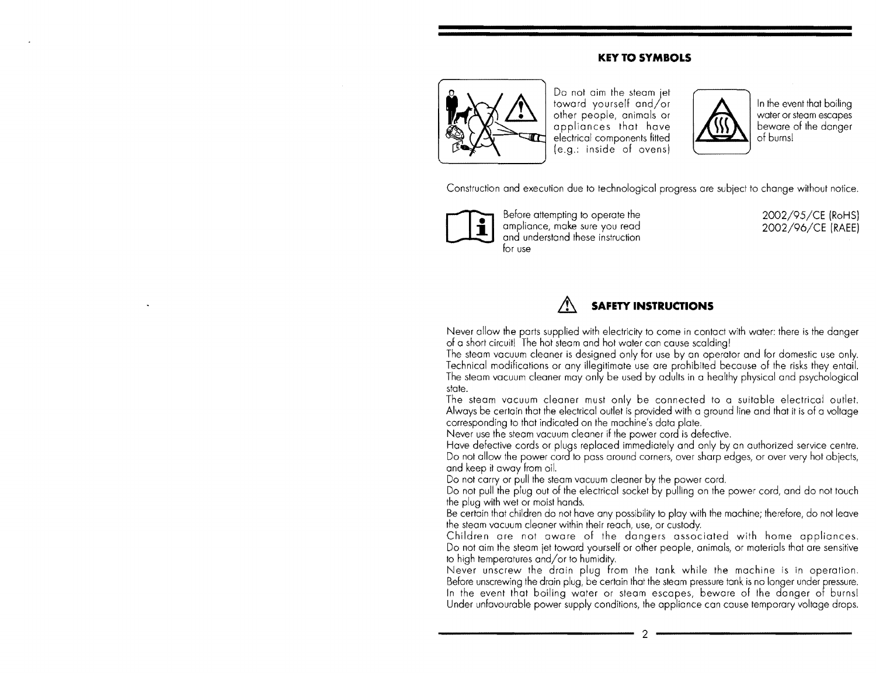#### **KEY TO SYMBOLS**



Do not aim the steom jet  $\frac{1}{2}$  toward yourself and/or  $\frac{1}{2}$   $\frac{1}{2}$  In the event that boiling other people, animals or appliances that have electrical components fitted other people, animals or  $\overline{a}$  water or steam escapes appliances that have  $\overline{a}$ and the people, onimals or appliances that have a beware of the danger other people, animals or<br>appliances that have<br>electrical components fitted<br>(e.g.: inside of ovens)



of burnsl

Construction and execution due to technological progress are subject to change without notice,



Before attempting to operate the 2002/95/CE (RoHS)<br>ampliance, make sure you read 2002/96/CE (RAEE) ampliance, make sure you read ampliance, make sure you read<br>and understand these instruction for use

# **SAFETY INSTRUCTIONS**

Never allow the parts supplied with electricity to come in contact with water: there is the of a short circuit! The hot steam and hot water can cause scalding!

 The steam vacuum cleaner is designed only for use by an operator and for domestic use only, Technical modifications or any illegitimate use are prohibited because of the risks they entail. The steam vacuum cleaner may only be used by adults in a healthy physical and psychological state.

The steam vacuum cleaner must only be connected to a suitable electrical outlet. Always be certain that the electrical outlet is provided with a ground line and that it is of a voltage corresponding to that indicated on the machine's data

Never use the steam vacuum cleaner if the power cord is defective.

and keep it away from oil. Have defective cords or plugs replaced immediately and only by an authorized service centre. Do not allow the power cord to pass around corners, over sharp edges, or over very hot objects,

Do not carry or pull the steam vacuum cleaner by the power cord,

 Do not pull the plug out of the electrical socket by pulling on the power cord, and do not touch the plug with wet or moist hands,

Be certain that children do not have any possibility to play with the machine; therefore, do not leave the steam vacuum cleaner within their reach, use, or custody.

Children are not aware of the dangers associated with home appliances. Do not aim the steam jet toward yourself or other people, animals, or materials that are sensitive to high temperatures and/or to humidity.

Never unscrew the drain plug from the tank while the machine is in operation, Before unscrewing the drain plug, be certain that the steam pressure tank is no longer under pressure. In the event that boiling water or steam escapes, beware of the danger of burnsl Under unfavourable power supply conditions, the appliance can cause temporary voltage drops.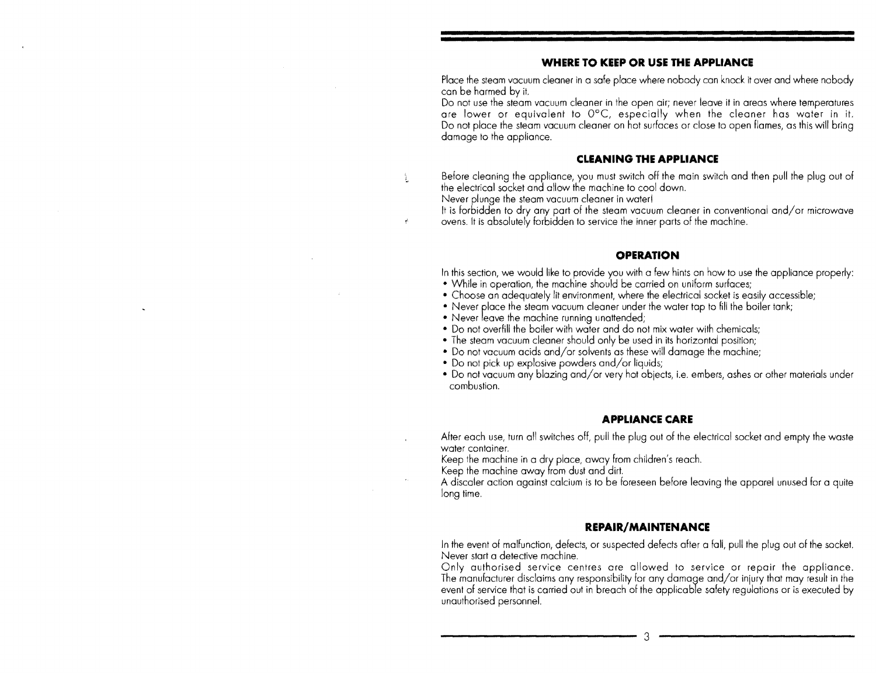#### **WHERE TO KEEP OR USE THE APPLIANCE**

Place the steam vacuum cleaner in a safe place where nobody can knock it over and where nobody can be harmed by it.

 Do not use the steam vacuum cleaner in the open air; never leave it in areas where temperatures are lower or equivalent to 0°C, especially when the cleaner has water in it. Do not place the steam vacuum cleaner on hot surfaces or close to open flames, as this will bring damage to the appliance.

#### **CLEANING THE APPLIANCE**

Before cleaning the appliance, you must switch off the main switch and then pull the plug out of the electrical socket and allow the machine to cool down.

Never plunge the steam vacuum cleaner in water!

 is forbidden to dry any part of the steam vacuum cleaner in conventional and/or microwave ovens. It is absolutely forbidden to service the inner parts of the machine.

#### **OPERATION**

In this section, we would like to provide you with a few hints on how to use the appliance properly:

- While in operation, the machine should be carried on uniform surfaces;
- Choose an adequately lit environment, where the electrical socket is easily accessible;
- Never place the steam vacuum cleaner under the water tap to fill the boiler tank;
- Never leave the machine running unattended;
- Do not overfill the boiler with water and do not mix water with chemicals;
- The steam vacuum cleaner should only be used in its horizontal position;
- Do not vacuum acids and/or solvents as these will damage the machine;
- Do not pick up explosive powders and/or liquids;
- Do not vacuum any blazing and/or very hot objects, i.e. embers, ashes or other materials under combustion.

#### **APPLIANCE CARE**

After each use, turn all switches off, pull the plug out of the electrical socket and empty the waste water container.

Keep the machine in a dry place, away from children's reach.

Keep the machine away from dust and dirt.

A discaler action against calcium is to be foreseen before leaving the apparel unused tor a quite long time.

#### **REPAIR/MAINTENANCE**

In the event of malfunction, defects, or suspected defects after a fall. pull the out of the socket. Never start a detective machine.

Only authorised service centres are allowed to service or repair the appliance. The manufacturer disclaims any responsibility for any damage and/or injury that may result in the event of service that is carried out in breach of the applicable safety regulations or is executed by unauthorised personnel.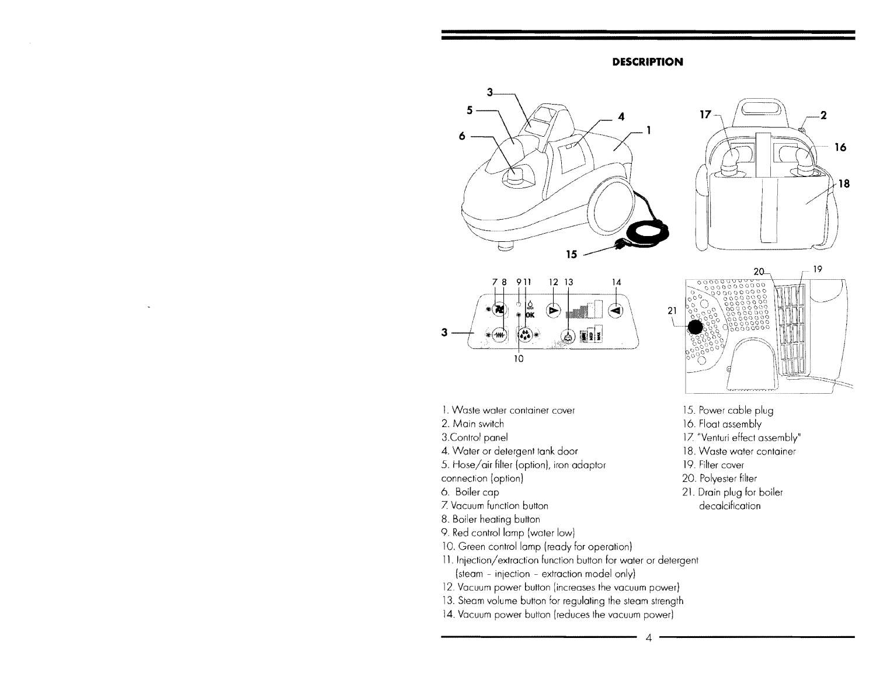#### **DESCRIPTION**





19





- 
- 
- 4. Water or detergent tank door **18. Waste water container**
- 5. Hose/air filter (option), iron adaptor 19. Filter cover
- 
- 
- 7. Vacuum
- 8. Boiler heating button
- 9. Red control lamp (water low)
- 10. Green control lamp (ready for operation)
- 11. Injection/extraction function button for water or detergent (steam - injection - extraction model only)
- 12. Vacuum power button (increases the vacuum power)
- 13. Steam volume button for regulating the steam strength
- 14. Vacuum power button (reduces the vacuum power)



20.

- 
- 2. Main switch 16. Float assembly
- 3. Control panel 17. "Venturi effect assembly"
	-
	-
- connection (option) 20. Polyester filter
- 6. Boiler cap boiler boiler boiler boiler boiler decalcification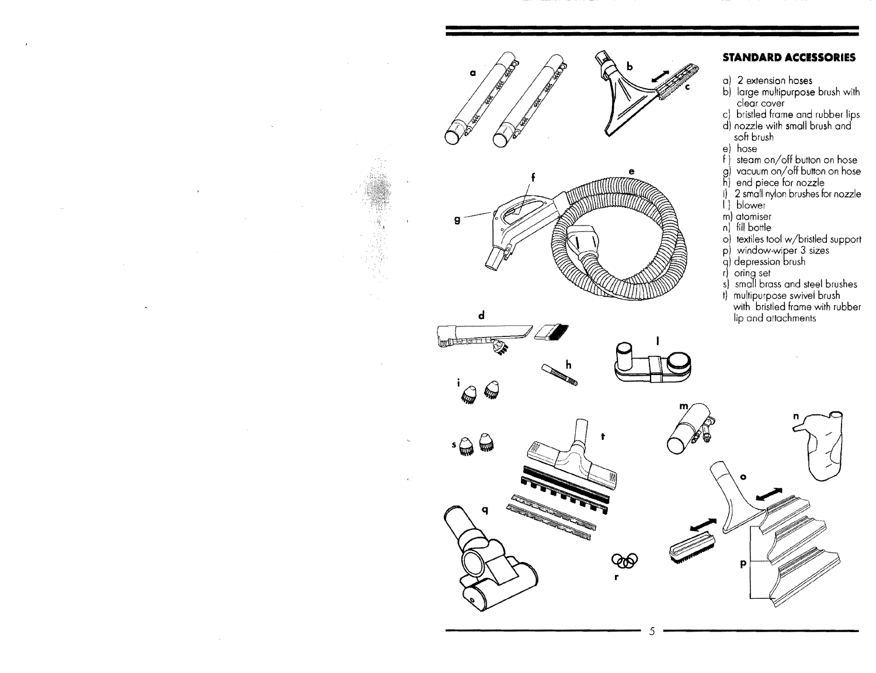





# $\bigcirc$

p

#### **STANDARD ACCISSORIES**

- a) 2 extension hoses
- b) large multipurpose brush with clear cover
- c) bristled frame and rubber lips
- d) nozzle with small brush and soft brush
- e) hose
- f) steam on/off button on hose
- g) vacuum on/ott button on hose
- h) end piece for nozzle
- i) 2 small nylon brushes for nozzle
- I) blower
- m) atomiser
- n) fill bottle
- o) textiles tool w/bristled support
- p) window-wiper 3 sizes
- q) depression brush
- rl orlng sel
- s) small brass and steel brushes
- t) multipurpose swivel brush with bristled frame with rubber lip and attachments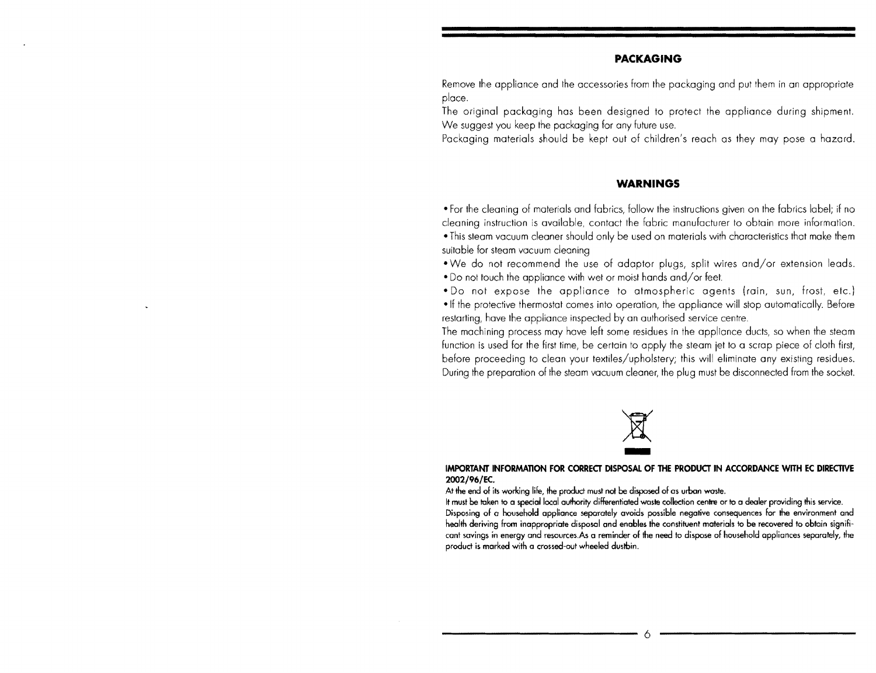#### **PACKAGING**

Remove the appliance and the accessories from the packaging and put them in an appropriate place.

The original packaging has been designed to protect the appliance during shipment. We suggest you keep the packaging for any future use.

Packaging materials should be kept out of children's reach as they may pose a hazard.

#### **WARNINGS**

• For the cleaning of materials and fabrics, follow the instructions given on the fabrics label; if no cleaning instruction is available, contact the fabric manufacturer to obtain more information.

. This steam vacuum cleaner should only be used on materials with characteristics that make them suitable for steam vacuum cleaning

- We do not recommend the use of adaptor plugs, split wires and/or extension leads.

- Do not touch the appliance with wet or moist hands and/or feet.

- Do not expose the appliance to atmospheric agents (rain, sun, frost, etc.) -If the protective thermostat comes into operation, the appliance will stop automatically. Before restarting, have the appliance inspected by an authorised service centre.

The machining process may have left some residues in the appliance ducts, so when the steam function is used for the first time, be certain to apply the steam jet to a scrap piece of cloth first, before proceeding to clean your textiles/upholstery; this will eliminate any existing residues. During the preparation of the steam vacuum cleaner, the plug must be disconnected from the socket.



#### **IMPORTANT INFORMATION FOR CORRECT DISPOSAL OF THE PRODUCT IN ACCORDANCE WITH EC DIRECTIVE**  2002/96/EC.

At the end of its working life, the product must not be disposed of as urban waste.

It must be taken to a special local authority differentiated waste collection centre or to a dealer providing this service. Disposing of a household appliance separately avoids possible negative consequences for the environment and health deriving from inappropriate disposal and enables the constituent materials 10 be recovered to obtain signifi cant savings in energy and resources.As a reminder of the need to dispose of household appliances separately, the product is marked with a crossed-out wheeled dustbin.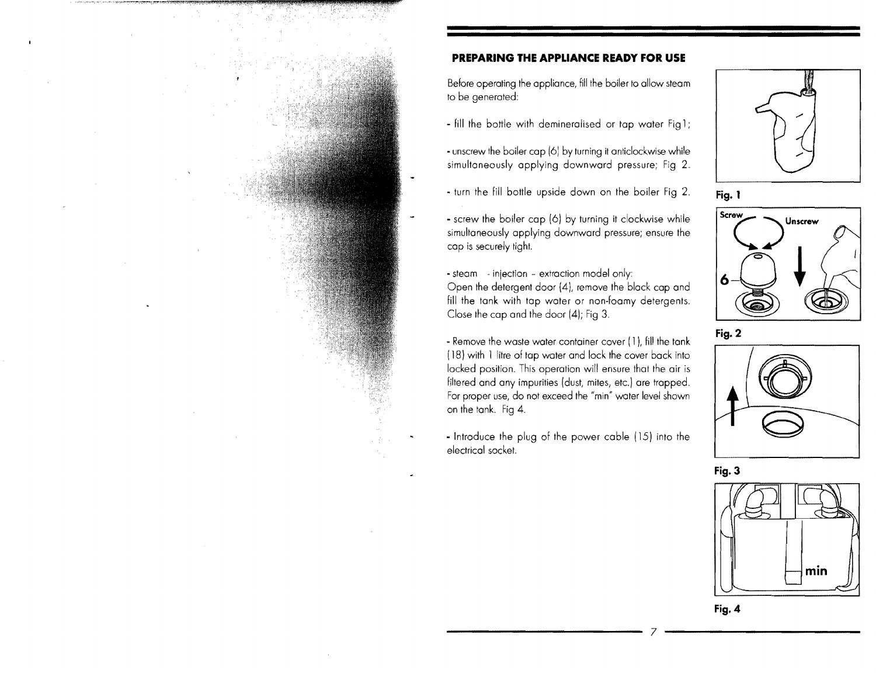#### **PREPARING THE APPLIANCE READY FOR USE**

Before operating the appliance, fill the boiler to allow steam to be generated:

- fill the bottle with demineralised or tap water Fig1;

- unscrew the boiler cap (6) by turning it anticlockwise while simultaneously applying downward pressure; Fia 2.
- turn the fill bottle upside down on the boiler Fig 2.
- screw the boiler cap (6) by turning it clockwise while simultaneously applying downward pressure; ensure the cap is securely tight.

 $\rightarrow$  steam  $\rightarrow$  injection  $\rightarrow$  extraction model only: Open the detergent door (4), remove the block cap and fill the tank with tap water or non-foamy detergents. Close the cap and the door (4); Fig 3.

- Remove the waste water container cover ( 1 ), fill the tank (18) with 1 litre of tap water and lock the cover back into locked position. This operation will ensure that the air is filtered and any impurities (dust, mites, etc.) are trapped. For proper use, do not exceed the "min" water level shown on the tank. Fig 4.

- Introduce the plug of the power cable (15) into the electrical socket.















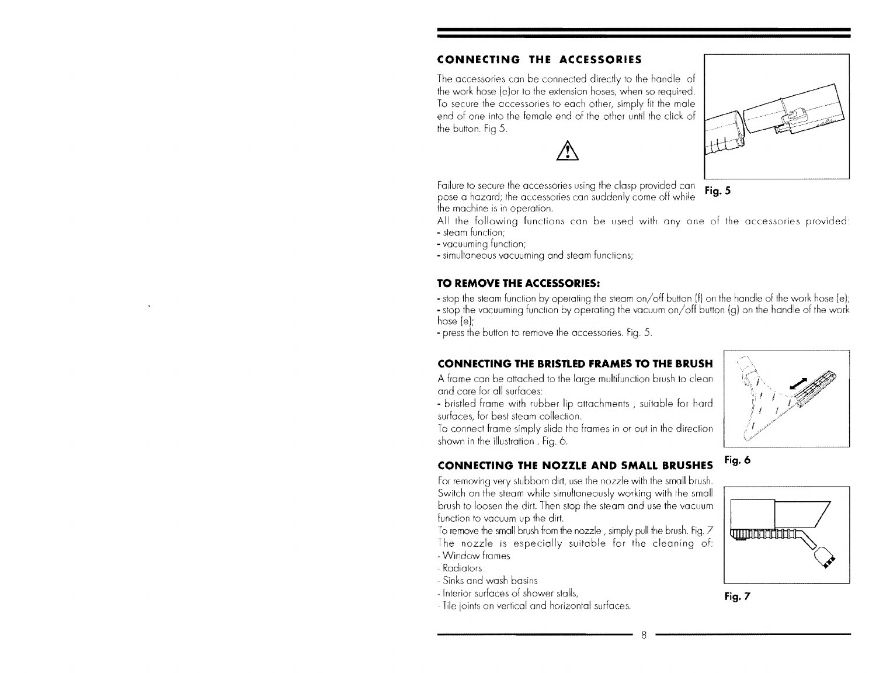## **CONNECTING THE ACCESSORIES**

The accessories can be connected directly to the handle of the work hose (e) or to the extension hoses, when so required. To secure the accessories to each other, simply fit the male end of one into the female end of the other until the click of the button. Fig 5.

 $\bigwedge$ 

Failure to secure the accessories using the clasp provided can  $\mathbf{Fig. 5}$ pose a hazard; the accessories can suddenly come off while the machine is in operation.

All the following functions can be used with any one of the accessories provided:<br>- steam function;<br>- vacuuming function;<br>- simultaneous vacuuming and steam functions;

#### **TO REMOVE THE ACCESSORIES:**

- stop the steam function by operating the steam on/off button  $(f)$  on the handle of the work hose (e);

- stop the vacuuming function by operating the vacuum on/off button (g) on the handle of the work hose (e):

- press the button to remove the accessories. Fig. 5.

### **CONNECTING THE BRISTLED FRAMES TO THE BRUSH**

A frame can be attached to the large multifunction brush to clean and care for all surfaces:<br>- bristled frame with rubber lip attachments , suitable for hard

surfaces, for best steam collection.

To connect frame simply slide the frames in or out in the direction shown in the illustration. Fia. 6.

# **CONNECTING THE NOZZLE AND SMALL BRUSHES** Fig. 6

For removing very stubborn dirt, use the nozzle with the small brush. Switch on the steam while simultaneously working with the small brush to loosen the dirt. Then stop the steam and use the vacuum function to vacuum up the dirt.

To remove the small brush from the nozzle, simply pull the brush. Fig.  $Z$ The nozzle is especially suitable for the cleaning of: - Window frames

- Radiators
- Sinks and wash basins
- 
- Fig. 7 of shower











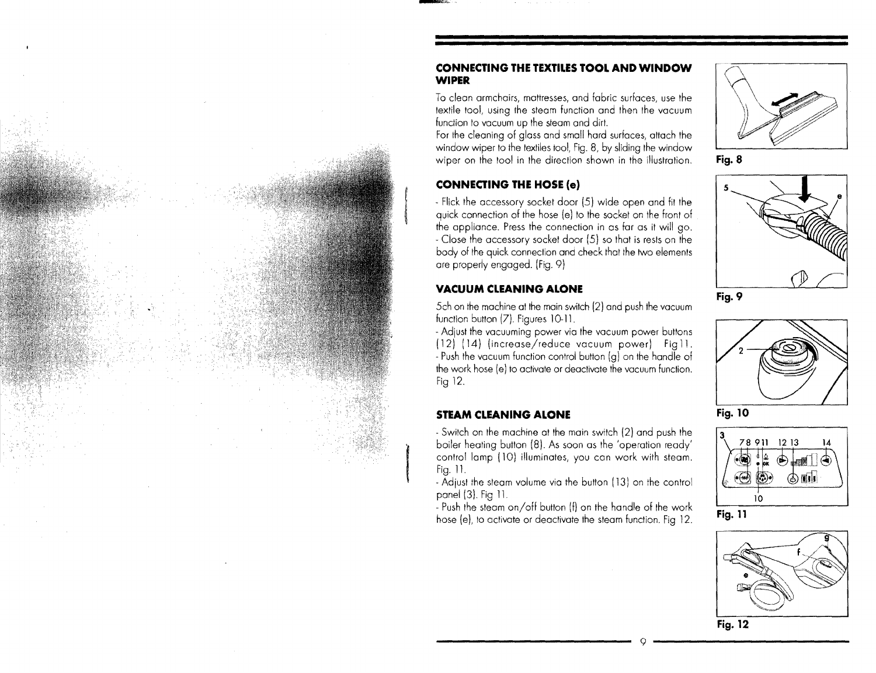#### **CONNECTING THE TEXTILES TOOL AND WINDOW WIPER**

To clean armchairs, mattresses, and fabric surfaces, use the textile tool, using the steam function and then the vacuum function to vacuum up the steam and dirt.

For the cleaning of gloss and small hard surfaces, attach the window wiper to the textiles tool, Fig. 8, by sliding the window wiper on the tool in the direction shown in the illustration,

#### **CONNECTING THE HOSE (e)**

- Flick the accessory socket door (5) wide open quick connection of the hose (e) to the socket on the front of the appliance. Press the connection in as far as it will go. Close the accessory socket door (5) so that is rests on the body of the quick connection and check that the two elements are properly engaged. (Fig. 9)

#### **VACUUM CLEANING ALONE**

5ch on the machine at the main switch (2) and push the vacuum function button (7). Figures 10-11,

14) (increase/reduce vacuum power) Fig11. - Adjust the vacuuming power via the vacuum power buttons - Push the vacuum function control button  $(q)$  on the handle of the work hose (e) to activate or deactivate the vacuum function. Fig 12.

#### **STEAM CLEANING ALONE**

- Switch on the machine at the main switch (2) and push the boiler heating button (8). As soon as the'operation ready' control lamp (10) illuminates, you can work with steam. Fig. 11.

- Adjust the steam volume via the button (13) on the control panel (3). Fig 11

Push the steam on/off button (f) on the handle of the work hose (e), to activate or deactivate the steam function. Fig. 12.



**Fig- 8** 



**Fig- 9** 



**Fig- 10** 



Fig. 11



**Fig\_ 12**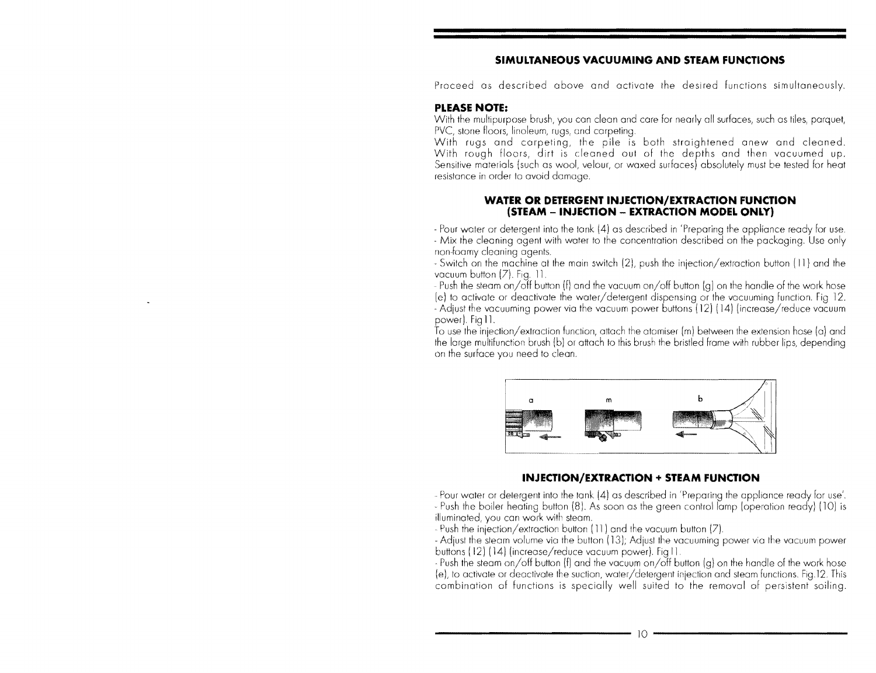#### **SIMULTANEOUS VACUUMING AND STEAM FUNCTIONS**

Proceed as described above and activate the desired functions simultaneously.

#### **PLEASE NOTE:**

With the multipurpose brush, you can clean and care for nearly all surfaces, such as tiles, parquet, PVC, stone floors, linoleum, ruas, and carpeting.

With rugs and carpeting, the pile is both straightened anew and cleaned. With rough floors, dirt is cleaned out of the depths and then vacuumed up. Sensitive materials (such as wool, velour, or waxed surfaces) absolutely must be tested for heat resistance in order to avoid damage.

#### **WATER OR DETERGENT INJECTION/EXTRACTION FUNCTION (STEAM - INJECTION - EXTRACTION MODEL ONLY)**

- Pour water or detergent into the tank (4) as described in 'Preparing the appliance ready for use. - Mix the cleaning agent with water to the concentration described on the packaging. Use only non-foamy cleaning agents.

- Switch on the machine at the main switch (2), push the injection/extraction button (11) and the vacuum button  $(Z)$ . Fig.  $11$ .

- Push the steam on/off button (f) and the vacuum on/off button (g) on the handle of the work hose (e) to activate or deactivate the water/detergent dispensing or the vacuuming function. Fig. 12. - Adjust the vacuuming power via the vacuum power buttons (12) (14) (increase/reduce vacuum power). Fig 11.

attach the atomiser (m) between the extension hose (a) and to this brush the bristled frame with rubber lips, depending on the surface you need to clean.



#### **INJECTION/EXTRACTION + STEAM FUNCTION**

- Pour water or detergent into the tank (4) as described in 'Preparing the appliance ready for use'. - Push the boiler heating button (8). As soon as the green control lamp (operation ready) (10) is illuminated, you can work with steam.

Push the injection/extraction button (11 ) and the vacuum button (7)

- Adjust the steam volume via the button (13); Adjust the vacuuming power via the vacuum power buttons (12) (14) (increase/reduce vacuum power). Fig 11.

to activate or deactivate the suction, water/detergent injection and steam functions. Fig.12. This - Push the steam on/off button (f) and the vacuum on/off button  $(q)$  on the handle of the work hose combination of functions is specially well suited to the removal of persistent soiling.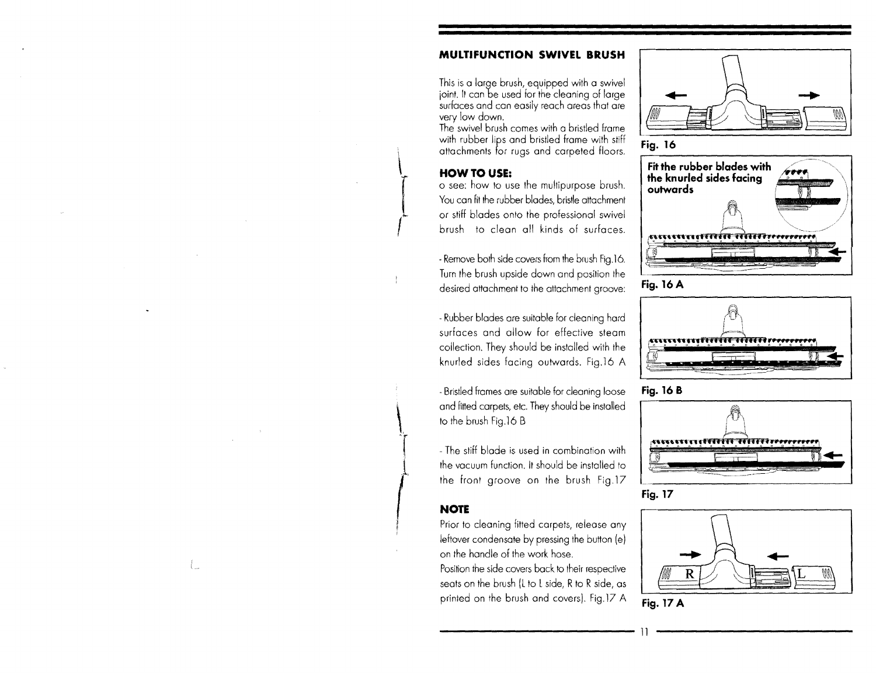#### **MURTION SWIVEL BRUSH**

This is a large brush, equipped with a swivel jOint. It can be used for the cleaning of large surfaces and can easily reach areas that are very low down.

The swivel brush comes with a bristled frame with rubber lips and bristled frame with stiff attachments for rugs and carpeted floors.

### HOW TO USE:

o see: how to use the multipurpose brush. You can fit the rubber blades, bristle attachment or stiff blades onto the professional swivel brush to clean all kinds of surfaces.

- Remove both side covers from the brush Fig.16. Turn the brush upside down and position the desired attachment to the attachment groove:

Rubber blades are suitable for cleaning hard surfaces and allow for effective steam collection. They should be installed with the knurled sides facina outwards. Fig.16 A

. Bristled frames are suitable for cleaning loose and fitted carpets, etc. They should be installed to the brush Fig.16 B

and<br>to t<br>- Tl<br>the The stiff blade is used in combination with the vacuum function. It should be installed to the front groove on the brush Fig.17

### **NOTE**

Prior to cleaning fitted carpets, release any leftover condensate by pressing the button (el on the handle of the work hose.

Position the side covers back to their respective seats on the brush (L to L side, R to R side, as printed on the brush and covers). Fig.17 A

















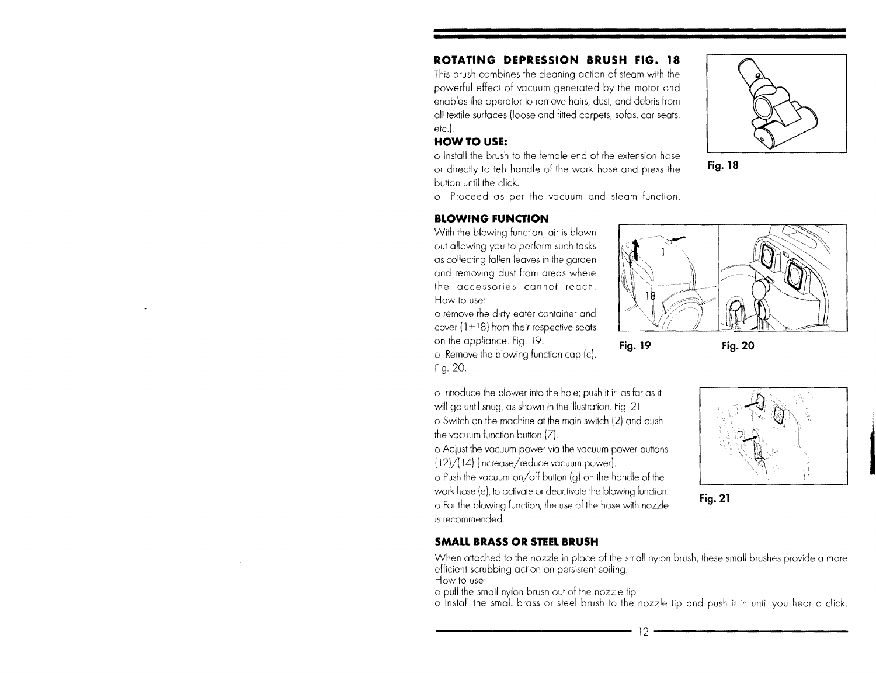# **ROTATING DEPRESSION BRUSH FIG. 18**

This brush combines the cleaning action of steam with the powerful effect of vacuum generated by the motor and enables the operator to remove hairs, dust, and debris from all textile surfaces (loose and fitted carpets, sofas, car seats, etc.).

# HOW TO **USE:**

o Install the brush to the female end of the extension hose or directly to teh handle of the work hose and press the button until the click.

o Proceed as per the vacuum and steam function

# **BLOWING FUNCTION**

With the blowing function, air is blown out allowing you to perform such tasks as collecting fallen leaves in the garden and removing dust from areas where the accessories cannot reach. How to use:

o remove the dirty eater container and cover  $(1+18)$  from their respective seats on the appliance. 19. **Fig. 19** 

Remove the blowing function cap (c). Fig. 20.

o Introduce the blower into the push it in as far as it will go until snug, as shown in the illustration. Fig. 21.

o Switch on the machine at the main switch (2) and push the vacuum function button (7).

o Adiust the vacuum power via the vacuum power buttons (12)/(14) (increase/reduce vacuum power).

 $\circ$  Push the vacuum on/off button (g) on the handle of the work hose (e), to activate or deactivate the blowing function. o For the blowing function, the use of the hose with nozzle is recommended.

# **SMALL BRASS OR STEEL BRUSH**

When attached to the nozzle in place of the small nylon brush, these small brushes provide a more efficient scrubbing action on persistent soiling. How to use:

o pull the small nylon brush out of the nozzle tip

o install the small brass or steel brush to the nozzle tip and push it in until you hear a click.





~







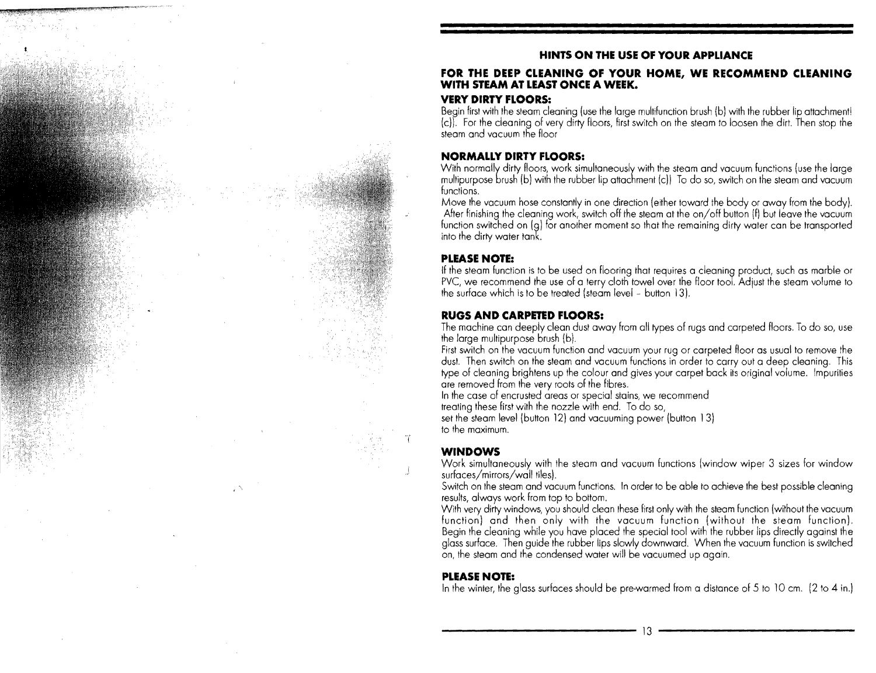#### • **HINTS ON THE USE OF YOUR APPLIANCE**

#### **FOR THE DEEP CLEANING OF YOUR HOME, WE RECOMMEND CLEANING WITH STEAM AT LEAST ONCE A WEEK.**

#### **VERY DIRTY FLOORS:**

Begin first with the steam cleaning (use the large multifunction brush (b) with the rubber lip attachment! (c)). For the cleaning of very dirty floors, first switch on the steam to loosen the dirt. Then stop the steam and vacuum the floor

#### **NORMALLY DIRTY FLOORS:**

With normally dirty floors, work simultaneously with the steam and vacuum functions (use the large multipurpose brush (b) with the rubber lip attachment (cll To do so, switch on the steam and vacuum functions.

Move the vacuum hose constantly in one direction (either toward the body or away from the body). After finishing the cleaning work, switch off the steam at the on/off button (f) but leave the vacuum function switched on (g) for another moment so that the remaining dirty water can be transported into the dirty water tank.

#### **PLEASE NOTE:**

If the steam function is to be used on flooring that requires a cleaning product, such as marble or PVC, we recommend the use of a terry cloth towel over the floor tool. Adjust the steam volume to the surface which is to be treated (steam level - button 13).

#### **RUGS AND CARPETED FLOORS:**

The machine can deeply clean dust away from all types of rugs and carpeted floors. To do so, use the large multipurpose brush (b).

First switch on the vacuum function and vacuum your rug or carpeted floor as usual to remove dust. Then sWitch on the steam and vacuum functions in order to carry out a deep cleaning, This type of cleaning brightens up the colour and gives your carpet back its original volume. Impurities are removed from the very roots of the fibres.

In the case of encrusted areas or special stains, we recommend

treating these first with the nozzle with end. To do so,

set the steam level (button 12) and vacuuming power (button 13) to the maximum.

#### **WINDOWS**

Work simultaneously with the steam and vacuum functions (Window wiper 3 sizes for window surfaces/mirrors/wall tiles).

Switch on the steam and vacuum functions. In order to be able to achieve the best possible cleaning results, always work from top to bottom.

very dirty windows, you should clean these first only with the steam function (Without the vacuum function) and then only with the vacuum function (without the steam function). Begin the cleaning while you have placed the special tool with the rubber lips directly against the glass surface. Then guide the rubber lips slowly downward. When the vacuum function is switched on, the steam and the condensed water will be vacuumed up again.

#### **PLEASE NOTE:**

In the winter, the glass surfaces should be pre-warmed from a distance of 5 to 10 cm. (2 to 4 in.)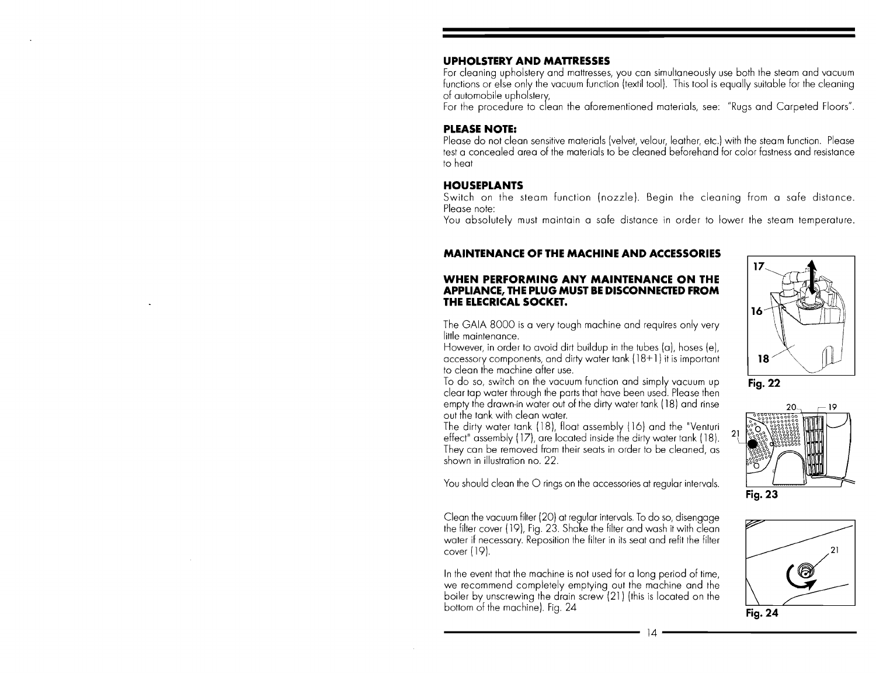#### **UPHOLSTERY AND MAnRESSES**

For cleaning upholstery and mattresses, you can simultaneously use both the steam and vacuum functions or else only the vacuum function (textil tool). This tool is equally suitable for the cleaning of automobile upholstery,

For the procedure to clean the aforementioned materials, see: "Rugs and Carpeted Floors".

#### **PLEASE NOTE:**

Please do not clean sensitive materials (velvet, velour, leather, etc.) with the steam function. Please test a concealed area of the materials to be cleaned beforehand for color fastness and resistance to heat

#### **HOUSEPLANTS**

Switch on the steam function (nozzle). Begin the cleaning from a safe distance. Please note:

You absolutely must maintain a safe distance in order to lower the steam temperature.

#### **MAINTENANCE OF THE MACHINE AND ACCESSORIES**

#### **WHEN PERFORMING ANY MAINTENANCE ON THE APPLIANCE, THE PLUG MUST BE DISCONNECTED FROM THE ELECRICAL SOCKET.**

The GAIA SOOO is a very tough machine and requires only very little maintenance.

However, in order to avoid dirt buildup in the tubes (a), hoses (e), accessory components, and dirty water tank ( lS+ 1 ) it is important to clean the machine after use.

To do so, switch on the vacuum function and simply vacuum up clear tap water through the parts that have been used. Please then empty the drawn-in water out of the dirty water tank (18) and rinse out the tank with clean water.

The dirty water tank (lS), float assembly (16) and the "Venturi effect" assembly  $(17)$ , are located inside the dirty water tank  $(18)$ . They can be removed from their seats in order to be cleaned, as shown in illustration no. 22.

You should clean the O rings on the accessories at regular intervals.

Clean the vacuum filter (20) at regular intervals. To do so, disengage the filter cover (19), Fig. 23. Shake the filter and wash it with clean water if necessary. Reposition the filter in its seat and refit the filter cover (19).

In the event that the machine is not used for a long period of time, we recommend completely emptying out the machine and the boiler by unscrewing the drain screw (21) (this is located on the bottom of the machine). Fig. 24



Fig. 22